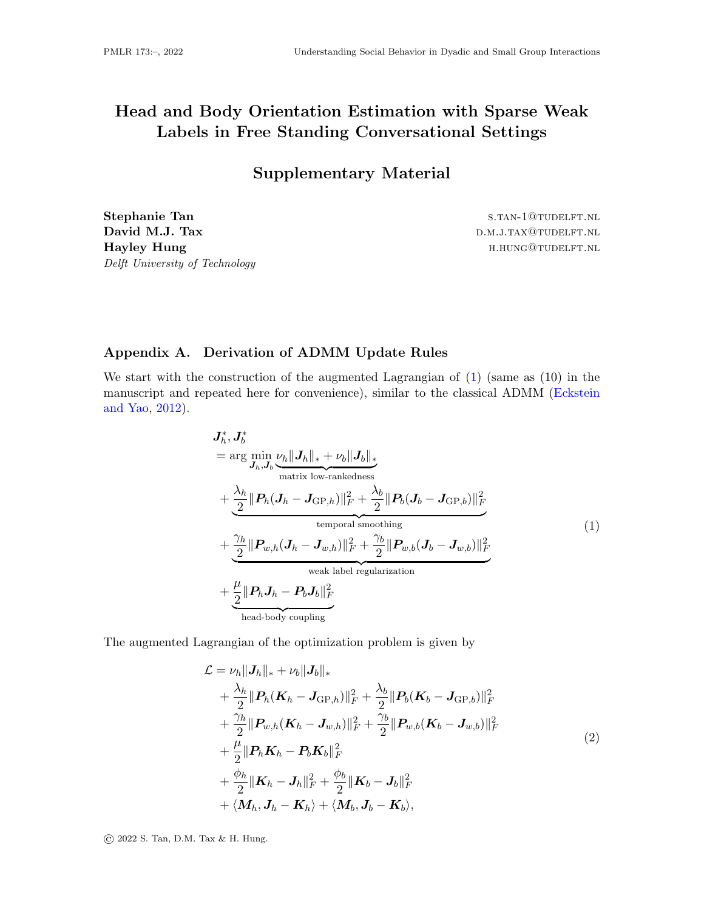## Head and Body Orientation Estimation with Sparse Weak Labels in Free Standing Conversational Settings

Supplementary Material

Stephanie Tan s.tan-1@tudelft.nl David M.J. Tax d.m.j.tax d.m.j.tax d.m.j.tax d.m.j.tax d.m.j.tax d.m.j.tax d.m.j.tax d.m.j.tax d.m.j.tax d.m.j Hayley Hung **have head and head in the set of the set of the set of the set of the set of the set of the set of the set of the set of the set of the set of the set of the set of the set of the set of the set of the set of** Delft University of Technology

## Appendix A. Derivation of ADMM Update Rules

We start with the construction of the augmented Lagrangian of  $(1)$  (same as  $(10)$ ) in the manuscript and repeated here for convenience), similar to the classical ADMM [\(Eckstein](#page-2-0) [and Yao,](#page-2-0) [2012\)](#page-2-0).

<span id="page-0-0"></span>
$$
J_h^*, J_b^*
$$
  
= arg min<sub>J\_h,J\_b</sub>  $\nu_h ||J_h||_* + \nu_b ||J_b||_*$   
matrix low-rankedness  
+  $\frac{\lambda_h}{2} ||P_h(J_h - J_{\text{GP},h})||_F^2 + \frac{\lambda_b}{2} ||P_b(J_b - J_{\text{GP},b})||_F^2$   
temporal smoothing  
+  $\frac{\gamma_h}{2} ||P_{w,h}(J_h - J_{w,h})||_F^2 + \frac{\gamma_b}{2} ||P_{w,b}(J_b - J_{w,b})||_F^2$   
weak label regularization  
+  $\frac{\mu}{2} ||P_h J_h - P_b J_b||_F^2$   
head-body coupling

The augmented Lagrangian of the optimization problem is given by

<span id="page-0-1"></span>
$$
\mathcal{L} = \nu_h ||J_h||_* + \nu_b ||J_b||_* \n+ \frac{\lambda_h}{2} ||P_h(\mathbf{K}_h - \mathbf{J}_{\text{GP},h})||_F^2 + \frac{\lambda_b}{2} ||P_b(\mathbf{K}_b - \mathbf{J}_{\text{GP},b})||_F^2 \n+ \frac{\gamma_h}{2} ||P_{w,h}(\mathbf{K}_h - \mathbf{J}_{w,h})||_F^2 + \frac{\gamma_b}{2} ||P_{w,b}(\mathbf{K}_b - \mathbf{J}_{w,b})||_F^2 \n+ \frac{\mu}{2} ||P_h \mathbf{K}_h - P_b \mathbf{K}_b||_F^2 \n+ \frac{\phi_h}{2} ||\mathbf{K}_h - \mathbf{J}_h||_F^2 + \frac{\phi_b}{2} ||\mathbf{K}_b - \mathbf{J}_b||_F^2 \n+ \langle \mathbf{M}_h, \mathbf{J}_h - \mathbf{K}_h \rangle + \langle \mathbf{M}_b, \mathbf{J}_b - \mathbf{K}_b \rangle,
$$
\n(2)

© 2022 S. Tan, D.M. Tax & H. Hung.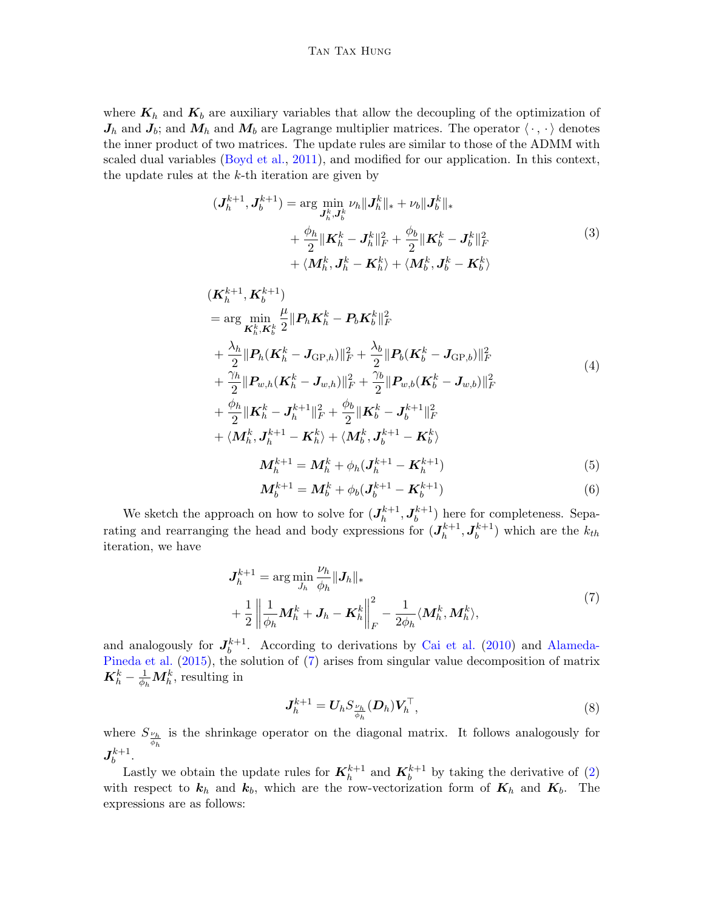## Tan Tax Hung

where  $K_h$  and  $K_b$  are auxiliary variables that allow the decoupling of the optimization of  $J_h$  and  $J_b$ ; and  $M_h$  and  $M_b$  are Lagrange multiplier matrices. The operator  $\langle \cdot, \cdot \rangle$  denotes the inner product of two matrices. The update rules are similar to those of the ADMM with scaled dual variables [\(Boyd et al.,](#page-2-1) [2011\)](#page-2-1), and modified for our application. In this context, the update rules at the  $k$ -th iteration are given by

$$
(\mathbf{J}_{h}^{k+1}, \mathbf{J}_{b}^{k+1}) = \arg\min_{\mathbf{J}_{h}^{k}, \mathbf{J}_{b}^{k}} \nu_{h} \|\mathbf{J}_{h}^{k}\|_{*} + \nu_{b} \|\mathbf{J}_{b}^{k}\|_{*} + \frac{\phi_{h}}{2} \|\mathbf{K}_{h}^{k} - \mathbf{J}_{h}^{k}\|_{F}^{2} + \frac{\phi_{b}}{2} \|\mathbf{K}_{b}^{k} - \mathbf{J}_{b}^{k}\|_{F}^{2} + \langle \mathbf{M}_{h}^{k}, \mathbf{J}_{h}^{k} - \mathbf{K}_{h}^{k} \rangle + \langle \mathbf{M}_{b}^{k}, \mathbf{J}_{b}^{k} - \mathbf{K}_{b}^{k} \rangle
$$
\n(3)

$$
(\mathbf{K}_{h}^{k+1}, \mathbf{K}_{b}^{k+1})
$$
  
\n
$$
= \arg \min_{\mathbf{K}_{h}^{k}, \mathbf{K}_{b}^{k}} \frac{\mu}{2} ||\mathbf{P}_{h} \mathbf{K}_{h}^{k} - \mathbf{P}_{b} \mathbf{K}_{b}^{k}||_{F}^{2}
$$
  
\n
$$
+ \frac{\lambda_{h}}{2} ||\mathbf{P}_{h} (\mathbf{K}_{h}^{k} - \mathbf{J}_{\text{GP},h})||_{F}^{2} + \frac{\lambda_{b}}{2} ||\mathbf{P}_{b} (\mathbf{K}_{b}^{k} - \mathbf{J}_{\text{GP},b})||_{F}^{2}
$$
  
\n
$$
+ \frac{\gamma_{h}}{2} ||\mathbf{P}_{w,h} (\mathbf{K}_{h}^{k} - \mathbf{J}_{w,h})||_{F}^{2} + \frac{\gamma_{b}}{2} ||\mathbf{P}_{w,b} (\mathbf{K}_{b}^{k} - \mathbf{J}_{w,b})||_{F}^{2}
$$
  
\n
$$
+ \frac{\phi_{h}}{2} ||\mathbf{K}_{h}^{k} - \mathbf{J}_{h}^{k+1}||_{F}^{2} + \frac{\phi_{b}}{2} ||\mathbf{K}_{b}^{k} - \mathbf{J}_{b}^{k+1}||_{F}^{2}
$$
  
\n
$$
+ \langle \mathbf{M}_{h}^{k}, \mathbf{J}_{h}^{k+1} - \mathbf{K}_{h}^{k} \rangle + \langle \mathbf{M}_{b}^{k}, \mathbf{J}_{b}^{k+1} - \mathbf{K}_{b}^{k} \rangle
$$

$$
\boldsymbol{M}_h^{k+1} = \boldsymbol{M}_h^k + \phi_h(\boldsymbol{J}_h^{k+1} - \boldsymbol{K}_h^{k+1})
$$
\n<sup>(5)</sup>

$$
M_b^{k+1} = M_b^k + \phi_b (J_b^{k+1} - K_b^{k+1})
$$
\n(6)

We sketch the approach on how to solve for  $(J_h^{k+1})$  $\bm{J}_h^{k+1}, \bm{J}_b^{k+1}$  $b<sub>b</sub><sup>k+1</sup>$  here for completeness. Separating and rearranging the head and body expressions for  $(J_h^{k+1})$  $\bm{J}_h^{k+1}, \bm{J}_b^{k+1}$  $\binom{k+1}{b}$  which are the  $k_{th}$ iteration, we have

<span id="page-1-0"></span>
$$
J_h^{k+1} = \arg\min_{J_h} \frac{\nu_h}{\phi_h} ||J_h||_*
$$
  
+ 
$$
\frac{1}{2} \left\| \frac{1}{\phi_h} \mathbf{M}_h^k + \mathbf{J}_h - \mathbf{K}_h^k \right\|_F^2 - \frac{1}{2\phi_h} \langle \mathbf{M}_h^k, \mathbf{M}_h^k \rangle,
$$
 (7)

and analogously for  $J_h^{k+1}$  $b<sup>k+1</sup>$ . According to derivations by [Cai et al.](#page-2-2) [\(2010\)](#page-2-2) and [Alameda-](#page-2-3)[Pineda et al.](#page-2-3) [\(2015\)](#page-2-3), the solution of [\(7\)](#page-1-0) arises from singular value decomposition of matrix  $\mathbf{K}_h^k - \frac{1}{\phi_h} \mathbf{M}_h^k$ , resulting in

$$
\mathbf{J}_h^{k+1} = \mathbf{U}_h S_{\frac{\nu_h}{\phi_h}}(\mathbf{D}_h) \mathbf{V}_h^{\top},\tag{8}
$$

where  $S_{\frac{\nu_h}{\phi_h}}$  is the shrinkage operator on the diagonal matrix. It follows analogously for  $\bm{J}_h^{k+1}$  $b^{k+1}$ .

Lastly we obtain the update rules for  $\mathbf{K}_{h}^{k+1}$  and  $\mathbf{K}_{b}^{k+1}$  by taking the derivative of [\(2\)](#page-0-1) with respect to  $k_h$  and  $k_b$ , which are the row-vectorization form of  $K_h$  and  $K_b$ . The expressions are as follows: